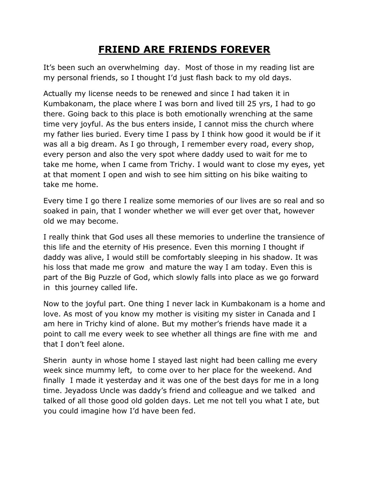## **FRIEND ARE FRIENDS FOREVER**

It's been such an overwhelming day. Most of those in my reading list are my personal friends, so I thought I'd just flash back to my old days.

Actually my license needs to be renewed and since I had taken it in Kumbakonam, the place where I was born and lived till 25 yrs, I had to go there. Going back to this place is both emotionally wrenching at the same time very joyful. As the bus enters inside, I cannot miss the church where my father lies buried. Every time I pass by I think how good it would be if it was all a big dream. As I go through, I remember every road, every shop, every person and also the very spot where daddy used to wait for me to take me home, when I came from Trichy. I would want to close my eyes, yet at that moment I open and wish to see him sitting on his bike waiting to take me home.

Every time I go there I realize some memories of our lives are so real and so soaked in pain, that I wonder whether we will ever get over that, however old we may become.

I really think that God uses all these memories to underline the transience of this life and the eternity of His presence. Even this morning I thought if daddy was alive, I would still be comfortably sleeping in his shadow. It was his loss that made me grow and mature the way I am today. Even this is part of the Big Puzzle of God, which slowly falls into place as we go forward in this journey called life.

Now to the joyful part. One thing I never lack in Kumbakonam is a home and love. As most of you know my mother is visiting my sister in Canada and I am here in Trichy kind of alone. But my mother's friends have made it a point to call me every week to see whether all things are fine with me and that I don't feel alone.

Sherin aunty in whose home I stayed last night had been calling me every week since mummy left, to come over to her place for the weekend. And finally I made it yesterday and it was one of the best days for me in a long time. Jeyadoss Uncle was daddy's friend and colleague and we talked and talked of all those good old golden days. Let me not tell you what I ate, but you could imagine how I'd have been fed.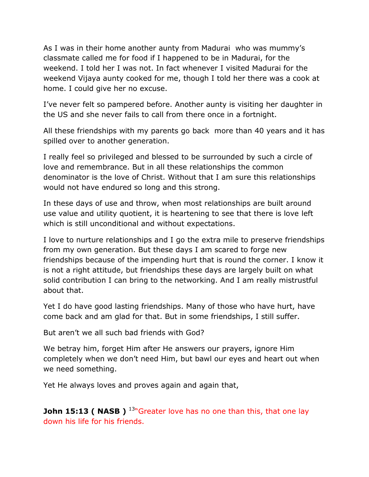As I was in their home another aunty from Madurai who was mummy's classmate called me for food if I happened to be in Madurai, for the weekend. I told her I was not. In fact whenever I visited Madurai for the weekend Vijaya aunty cooked for me, though I told her there was a cook at home. I could give her no excuse.

I've never felt so pampered before. Another aunty is visiting her daughter in the US and she never fails to call from there once in a fortnight.

All these friendships with my parents go back more than 40 years and it has spilled over to another generation.

I really feel so privileged and blessed to be surrounded by such a circle of love and remembrance. But in all these relationships the common denominator is the love of Christ. Without that I am sure this relationships would not have endured so long and this strong.

In these days of use and throw, when most relationships are built around use value and utility quotient, it is heartening to see that there is love left which is still unconditional and without expectations.

I love to nurture relationships and I go the extra mile to preserve friendships from my own generation. But these days I am scared to forge new friendships because of the impending hurt that is round the corner. I know it is not a right attitude, but friendships these days are largely built on what solid contribution I can bring to the networking. And I am really mistrustful about that.

Yet I do have good lasting friendships. Many of those who have hurt, have come back and am glad for that. But in some friendships, I still suffer.

But aren't we all such bad friends with God?

We betray him, forget Him after He answers our prayers, ignore Him completely when we don't need Him, but bawl our eyes and heart out when we need something.

Yet He always loves and proves again and again that,

**John 15:13 ( NASB )** <sup>13</sup>"Greater love has no one than this, that one lav down his life for his friends.